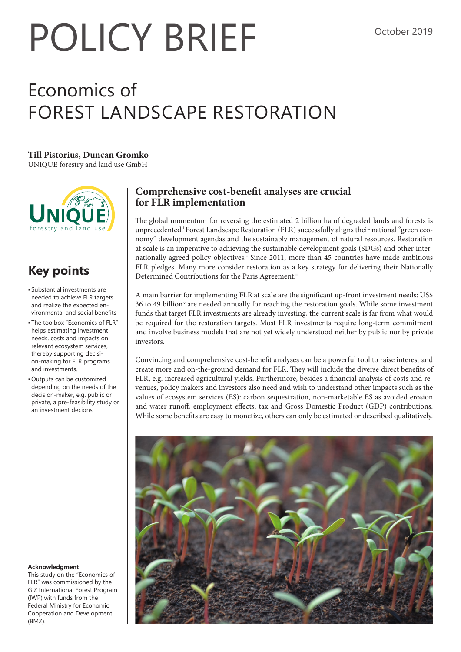# POLICY BRIEF<sup>october 2019</sup>

## Economics of FOREST LANDSCAPE RESTORATION

#### **Till Pistorius, Duncan Gromko**

UNIQUE forestry and land use GmbH



### **Key points**

- <sup>n</sup> Substantial investments are needed to achieve FLR targets and realize the expected environmental and social benefits
- **The toolbox "Economics of FLR"** helps estimating investment needs, costs and impacts on relevant ecosystem services, thereby supporting decision-making for FLR programs and investments.
- <sup>n</sup> Outputs can be customized depending on the needs of the decision-maker, e.g. public or private, a pre-feasibility study or an investment decions.

#### **Acknowledgment**

This study on the "Economics of FLR" was commissioned by the GIZ International Forest Program (IWP) with funds from the Federal Ministry for Economic Cooperation and Development (BMZ).

#### **Comprehensive cost-benefit analyses are crucial for FLR implementation**

The global momentum for reversing the estimated 2 billion ha of degraded lands and forests is unprecedented.<sup>i</sup> Forest Landscape Restoration (FLR) successfully aligns their national "green economy" development agendas and the sustainably management of natural resources. Restoration at scale is an imperative to achieving the sustainable development goals (SDGs) and other internationally agreed policy objectives.<sup>ii</sup> Since 2011, more than 45 countries have made ambitious FLR pledges. Many more consider restoration as a key strategy for delivering their Nationally Determined Contributions for the Paris Agreement.<sup>iii</sup>

A main barrier for implementing FLR at scale are the significant up-front investment needs: US\$ 36 to 49 billioniv are needed annually for reaching the restoration goals. While some investment funds that target FLR investments are already investing, the current scale is far from what would be required for the restoration targets. Most FLR investments require long-term commitment and involve business models that are not yet widely understood neither by public nor by private investors.

Convincing and comprehensive cost-benefit analyses can be a powerful tool to raise interest and create more and on-the-ground demand for FLR. They will include the diverse direct benefits of FLR, e.g. increased agricultural yields. Furthermore, besides a financial analysis of costs and revenues, policy makers and investors also need and wish to understand other impacts such as the values of ecosystem services (ES): carbon sequestration, non-marketable ES as avoided erosion and water runoff, employment effects, tax and Gross Domestic Product (GDP) contributions. While some benefits are easy to monetize, others can only be estimated or described qualitatively.

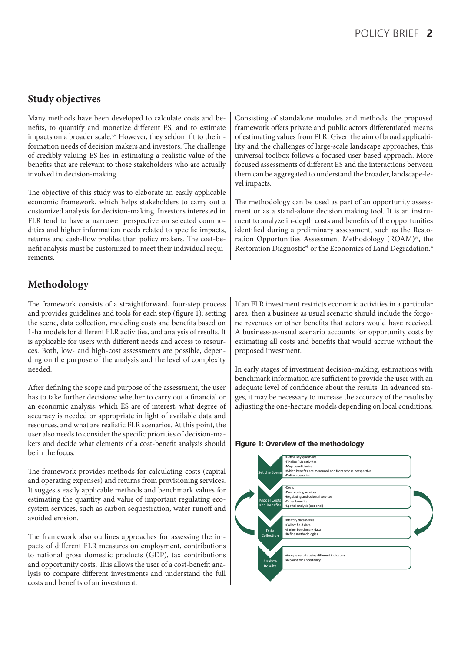#### **Study objectives**

Many methods have been developed to calculate costs and benefits, to quantify and monetize different ES, and to estimate impacts on a broader scale.<sup>v,vi</sup> However, they seldom fit to the information needs of decision makers and investors. The challenge of credibly valuing ES lies in estimating a realistic value of the benefits that are relevant to those stakeholders who are actually involved in decision-making.

The objective of this study was to elaborate an easily applicable economic framework, which helps stakeholders to carry out a customized analysis for decision-making. Investors interested in FLR tend to have a narrower perspective on selected commodities and higher information needs related to specific impacts, returns and cash-flow profiles than policy makers. The cost-benefit analysis must be customized to meet their individual requirements.

#### **Methodology**

The framework consists of a straightforward, four-step process and provides guidelines and tools for each step (figure 1): setting the scene, data collection, modeling costs and benefits based on 1-ha models for different FLR activities, and analysis of results. It is applicable for users with different needs and access to resources. Both, low- and high-cost assessments are possible, depending on the purpose of the analysis and the level of complexity needed.

After defining the scope and purpose of the assessment, the user has to take further decisions: whether to carry out a financial or an economic analysis, which ES are of interest, what degree of accuracy is needed or appropriate in light of available data and resources, and what are realistic FLR scenarios. At this point, the user also needs to consider the specific priorities of decision-makers and decide what elements of a cost-benefit analysis should be in the focus.

The framework provides methods for calculating costs (capital and operating expenses) and returns from provisioning services. It suggests easily applicable methods and benchmark values for estimating the quantity and value of important regulating ecosystem services, such as carbon sequestration, water runoff and avoided erosion.

The framework also outlines approaches for assessing the impacts of different FLR measures on employment, contributions to national gross domestic products (GDP), tax contributions and opportunity costs. This allows the user of a cost-benefit analysis to compare different investments and understand the full costs and benefits of an investment.

Consisting of standalone modules and methods, the proposed framework offers private and public actors differentiated means of estimating values from FLR. Given the aim of broad applicability and the challenges of large-scale landscape approaches, this universal toolbox follows a focused user-based approach. More focused assessments of different ES and the interactions between them can be aggregated to understand the broader, landscape-level impacts.

The methodology can be used as part of an opportunity assessment or as a stand-alone decision making tool. It is an instrument to analyze in-depth costs and benefits of the opportunities identified during a preliminary assessment, such as the Restoration Opportunities Assessment Methodology (ROAM)<sup>vii</sup>, the Restoration Diagnostic<sup>vii</sup> or the Economics of Land Degradation.<sup>ix</sup>

If an FLR investment restricts economic activities in a particular area, then a business as usual scenario should include the forgone revenues or other benefits that actors would have received. A business-as-usual scenario accounts for opportunity costs by estimating all costs and benefits that would accrue without the proposed investment.

In early stages of investment decision-making, estimations with benchmark information are sufficient to provide the user with an adequate level of confidence about the results. In advanced stages, it may be necessary to increase the accuracy of the results by adjusting the one-hectare models depending on local conditions.

#### **Figure 1: Overview of the methodology**

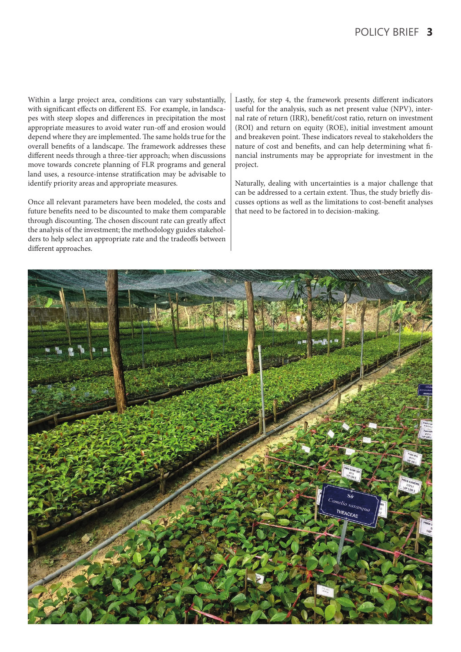Within a large project area, conditions can vary substantially, with significant effects on different ES. For example, in landscapes with steep slopes and differences in precipitation the most appropriate measures to avoid water run-off and erosion would depend where they are implemented. The same holds true for the overall benefits of a landscape. The framework addresses these different needs through a three-tier approach; when discussions move towards concrete planning of FLR programs and general land uses, a resource-intense stratification may be advisable to identify priority areas and appropriate measures.

Once all relevant parameters have been modeled, the costs and future benefits need to be discounted to make them comparable through discounting. The chosen discount rate can greatly affect the analysis of the investment; the methodology guides stakeholders to help select an appropriate rate and the tradeoffs between different approaches.

Lastly, for step 4, the framework presents different indicators useful for the analysis, such as net present value (NPV), internal rate of return (IRR), benefit/cost ratio, return on investment (ROI) and return on equity (ROE), initial investment amount and breakeven point. These indicators reveal to stakeholders the nature of cost and benefits, and can help determining what financial instruments may be appropriate for investment in the project.

Naturally, dealing with uncertainties is a major challenge that can be addressed to a certain extent. Thus, the study briefly discusses options as well as the limitations to cost-benefit analyses that need to be factored in to decision-making.